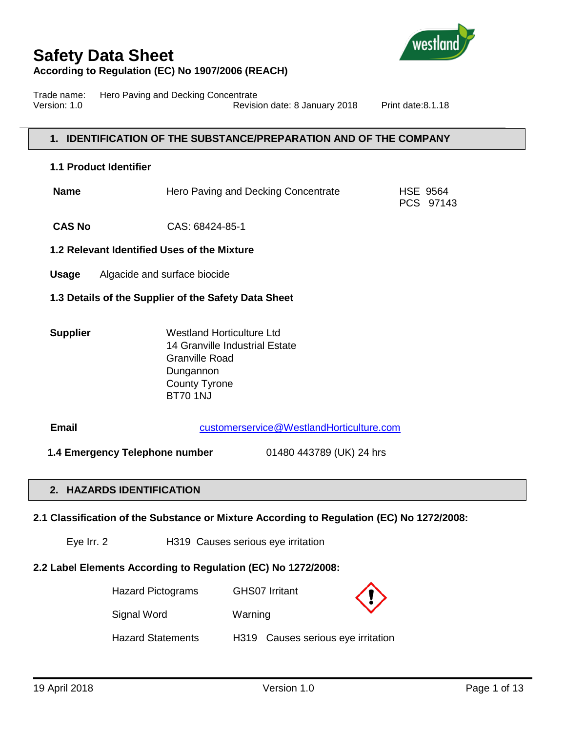

Trade name: Hero Paving and Decking Concentrate Version: 1.0 Revision date: 8 January 2018 Print date:8.1.18

### **1. IDENTIFICATION OF THE SUBSTANCE/PREPARATION AND OF THE COMPANY**

#### **1.1 Product Identifier**

| Name | Hero Paving and Decking Concentrate | <b>HSE 9564</b> |
|------|-------------------------------------|-----------------|
|      |                                     | PCS 97143       |

**CAS No** CAS: 68424-85-1

#### **1.2 Relevant Identified Uses of the Mixture**

- **Usage** Algacide and surface biocide
- **1.3 Details of the Supplier of the Safety Data Sheet**
- **Supplier** Westland Horticulture Ltd 14 Granville Industrial Estate Granville Road Dungannon County Tyrone BT70 1NJ

 **Email** [customerservice@WestlandHorticulture.com](mailto:customerservice@WestlandHorticulture.com)

 **1.4 Emergency Telephone number** 01480 443789 (UK) 24 hrs

## **2. HAZARDS IDENTIFICATION**

**2.1 Classification of the Substance or Mixture According to Regulation (EC) No 1272/2008:**

Eye Irr. 2 H319 Causes serious eye irritation

### **2.2 Label Elements According to Regulation (EC) No 1272/2008:**

| <b>Hazard Pictograms</b> | <b>GHS07 Irritant</b>              | $\langle \rangle$ |
|--------------------------|------------------------------------|-------------------|
| Signal Word              | Warning                            |                   |
| <b>Hazard Statements</b> | H319 Causes serious eye irritation |                   |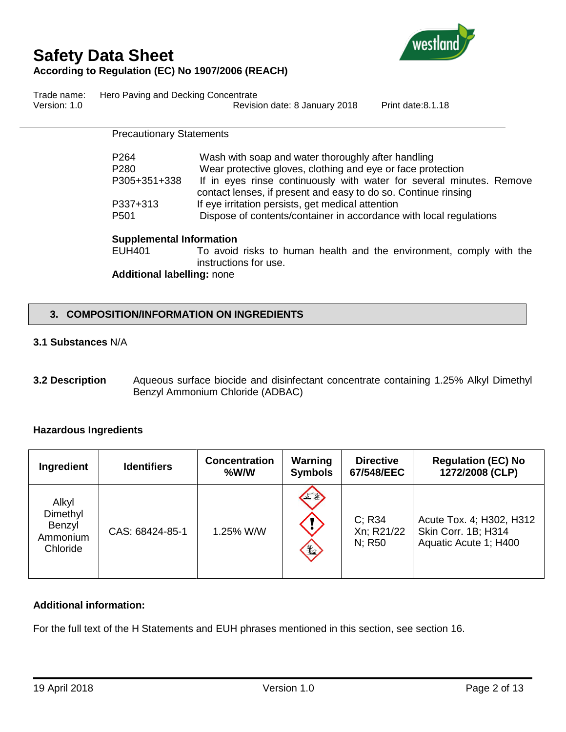

Trade name: Hero Paving and Decking Concentrate Version: 1.0 **Version: 1.0** Revision date: 8 January 2018 Print date: 8.1.18

> Precautionary Statements P264 Wash with soap and water thoroughly after handling P280 Wear protective gloves, clothing and eye or face protection P305+351+338 If in eyes rinse continuously with water for several minutes. Remove contact lenses, if present and easy to do so. Continue rinsing P337+313 If eye irritation persists, get medical attention P501 Dispose of contents/container in accordance with local regulations **Supplemental Information** EUH401 To avoid risks to human health and the environment, comply with the instructions for use. **Additional labelling:** none

## **3. COMPOSITION/INFORMATION ON INGREDIENTS**

### **3.1 Substances** N/A

**3.2 Description** Aqueous surface biocide and disinfectant concentrate containing 1.25% Alkyl Dimethyl Benzyl Ammonium Chloride (ADBAC)

### **Hazardous Ingredients**

| Ingredient                                          | <b>Identifiers</b> | <b>Concentration</b><br>%W/W | Warning<br><b>Symbols</b> | <b>Directive</b><br>67/548/EEC | <b>Regulation (EC) No</b><br>1272/2008 (CLP)                             |
|-----------------------------------------------------|--------------------|------------------------------|---------------------------|--------------------------------|--------------------------------------------------------------------------|
| Alkyl<br>Dimethyl<br>Benzyl<br>Ammonium<br>Chloride | CAS: 68424-85-1    | 1.25% W/W                    | FE<br>$\mathbf{H}$        | C: R34<br>Xn; R21/22<br>N: R50 | Acute Tox. 4; H302, H312<br>Skin Corr. 1B; H314<br>Aquatic Acute 1; H400 |

## **Additional information:**

For the full text of the H Statements and EUH phrases mentioned in this section, see section 16.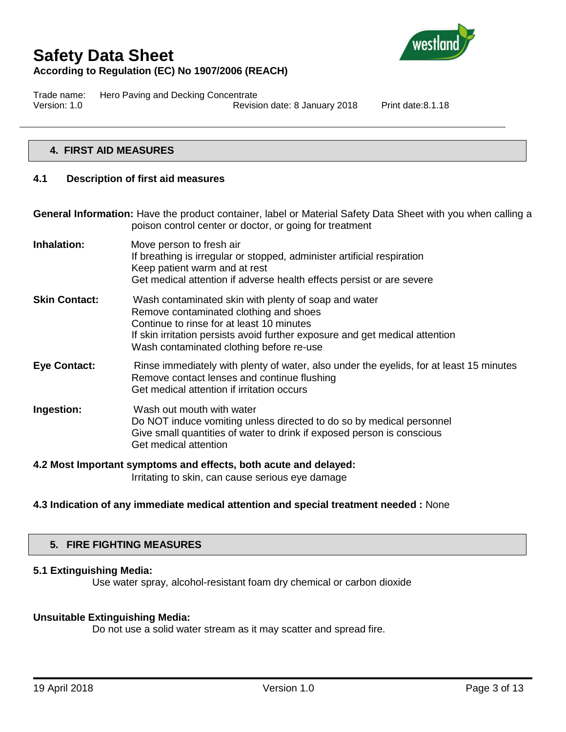

Trade name: Hero Paving and Decking Concentrate Version: 1.0 Revision date: 8 January 2018 Print date:8.1.18

## **4. FIRST AID MEASURES**

#### **4.1 Description of first aid measures**

**General Information:** Have the product container, label or Material Safety Data Sheet with you when calling a poison control center or doctor, or going for treatment

**Inhalation:** Move person to fresh air If breathing is irregular or stopped, administer artificial respiration Keep patient warm and at rest Get medical attention if adverse health effects persist or are severe **Skin Contact:** Wash contaminated skin with plenty of soap and water Remove contaminated clothing and shoes Continue to rinse for at least 10 minutes If skin irritation persists avoid further exposure and get medical attention Wash contaminated clothing before re-use **Eye Contact:** Rinse immediately with plenty of water, also under the eyelids, for at least 15 minutes Remove contact lenses and continue flushing Get medical attention if irritation occurs **Ingestion:** Wash out mouth with water Do NOT induce vomiting unless directed to do so by medical personnel Give small quantities of water to drink if exposed person is conscious Get medical attention

## **4.2 Most Important symptoms and effects, both acute and delayed:**

Irritating to skin, can cause serious eye damage

### **4.3 Indication of any immediate medical attention and special treatment needed :** None

#### **5. FIRE FIGHTING MEASURES**

#### **5.1 Extinguishing Media:**

Use water spray, alcohol-resistant foam dry chemical or carbon dioxide

#### **Unsuitable Extinguishing Media:**

Do not use a solid water stream as it may scatter and spread fire.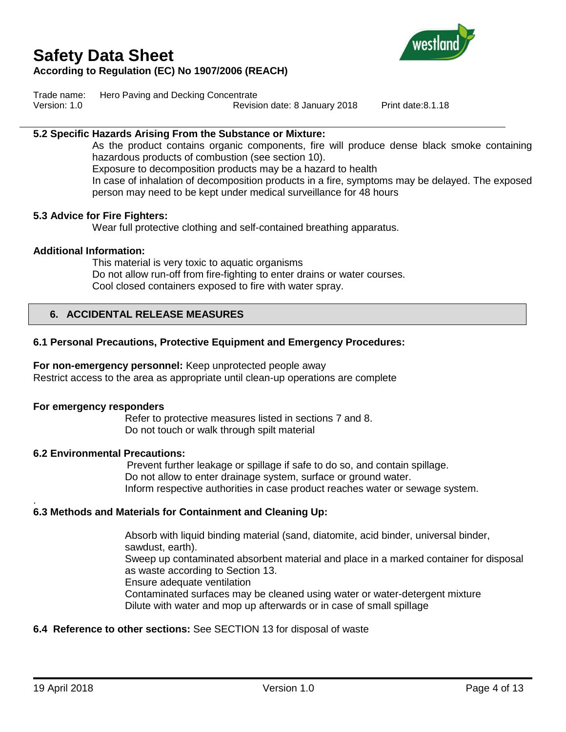# **Safety Data Sheet**



## **According to Regulation (EC) No 1907/2006 (REACH)**

Trade name: Hero Paving and Decking Concentrate

Version: 1.0 Revision date: 8 January 2018 Print date:8.1.18

### **5.2 Specific Hazards Arising From the Substance or Mixture:**

As the product contains organic components, fire will produce dense black smoke containing hazardous products of combustion (see section 10). Exposure to decomposition products may be a hazard to health In case of inhalation of decomposition products in a fire, symptoms may be delayed. The exposed person may need to be kept under medical surveillance for 48 hours

#### **5.3 Advice for Fire Fighters:**

Wear full protective clothing and self-contained breathing apparatus.

#### **Additional Information:**

This material is very toxic to aquatic organisms Do not allow run-off from fire-fighting to enter drains or water courses. Cool closed containers exposed to fire with water spray.

### **6. ACCIDENTAL RELEASE MEASURES**

### **6.1 Personal Precautions, Protective Equipment and Emergency Procedures:**

**For non-emergency personnel:** Keep unprotected people away Restrict access to the area as appropriate until clean-up operations are complete

#### **For emergency responders**

Refer to protective measures listed in sections 7 and 8. Do not touch or walk through spilt material

#### **6.2 Environmental Precautions:**

Prevent further leakage or spillage if safe to do so, and contain spillage. Do not allow to enter drainage system, surface or ground water. Inform respective authorities in case product reaches water or sewage system.

#### **6.3 Methods and Materials for Containment and Cleaning Up:**

Absorb with liquid binding material (sand, diatomite, acid binder, universal binder, sawdust, earth). Sweep up contaminated absorbent material and place in a marked container for disposal as waste according to Section 13. Ensure adequate ventilation Contaminated surfaces may be cleaned using water or water-detergent mixture Dilute with water and mop up afterwards or in case of small spillage

### **6.4 Reference to other sections:** See SECTION 13 for disposal of waste

.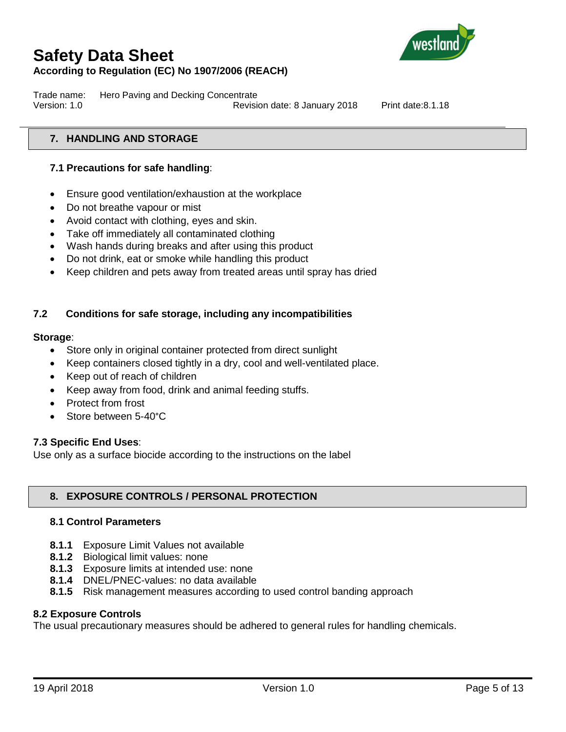

Trade name: Hero Paving and Decking Concentrate Version: 1.0 Revision date: 8 January 2018 Print date:8.1.18

## **7. HANDLING AND STORAGE**

## **7.1 Precautions for safe handling**:

- Ensure good ventilation/exhaustion at the workplace
- Do not breathe vapour or mist
- Avoid contact with clothing, eyes and skin.
- Take off immediately all contaminated clothing
- Wash hands during breaks and after using this product
- Do not drink, eat or smoke while handling this product
- Keep children and pets away from treated areas until spray has dried

## **7.2 Conditions for safe storage, including any incompatibilities**

#### **Storage**:

- Store only in original container protected from direct sunlight
- Keep containers closed tightly in a dry, cool and well-ventilated place.
- Keep out of reach of children
- Keep away from food, drink and animal feeding stuffs.
- Protect from frost
- Store between 5-40°C

### **7.3 Specific End Uses**:

Use only as a surface biocide according to the instructions on the label

### **8. EXPOSURE CONTROLS / PERSONAL PROTECTION**

#### **8.1 Control Parameters**

- **8.1.1** Exposure Limit Values not available
- **8.1.2** Biological limit values: none
- **8.1.3** Exposure limits at intended use: none
- **8.1.4** DNEL/PNEC-values: no data available
- **8.1.5** Risk management measures according to used control banding approach

### **8.2 Exposure Controls**

The usual precautionary measures should be adhered to general rules for handling chemicals.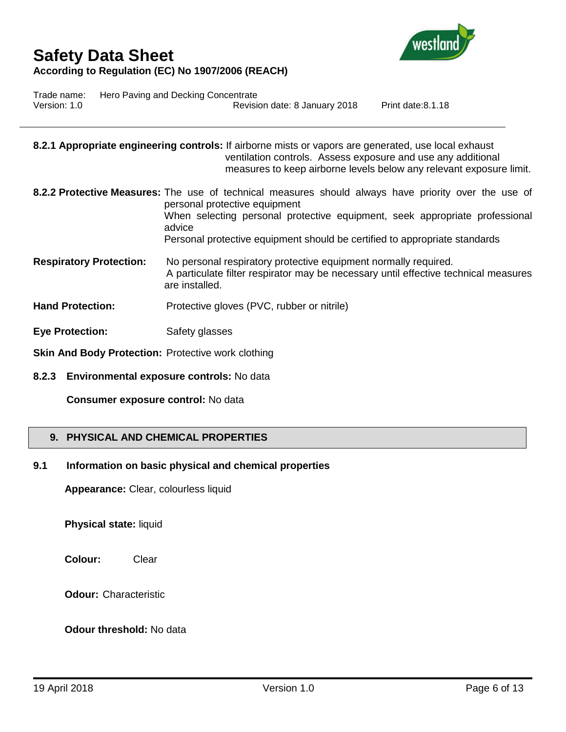

Trade name: Hero Paving and Decking Concentrate Version: 1.0 Revision date: 8 January 2018 Print date:8.1.18

|                                                           | 8.2.1 Appropriate engineering controls: If airborne mists or vapors are generated, use local exhaust<br>ventilation controls. Assess exposure and use any additional<br>measures to keep airborne levels below any relevant exposure limit.                                                                  |
|-----------------------------------------------------------|--------------------------------------------------------------------------------------------------------------------------------------------------------------------------------------------------------------------------------------------------------------------------------------------------------------|
|                                                           | 8.2.2 Protective Measures: The use of technical measures should always have priority over the use of<br>personal protective equipment<br>When selecting personal protective equipment, seek appropriate professional<br>advice<br>Personal protective equipment should be certified to appropriate standards |
| <b>Respiratory Protection:</b>                            | No personal respiratory protective equipment normally required.<br>A particulate filter respirator may be necessary until effective technical measures<br>are installed.                                                                                                                                     |
| <b>Hand Protection:</b>                                   | Protective gloves (PVC, rubber or nitrile)                                                                                                                                                                                                                                                                   |
| <b>Eye Protection:</b>                                    | Safety glasses                                                                                                                                                                                                                                                                                               |
| <b>Skin And Body Protection: Protective work clothing</b> |                                                                                                                                                                                                                                                                                                              |

**8.2.3 Environmental exposure controls:** No data

**Consumer exposure control:** No data

## **9. PHYSICAL AND CHEMICAL PROPERTIES**

## **9.1 Information on basic physical and chemical properties**

**Appearance:** Clear, colourless liquid

**Physical state:** liquid

**Colour:** Clear

**Odour:** Characteristic

## **Odour threshold:** No data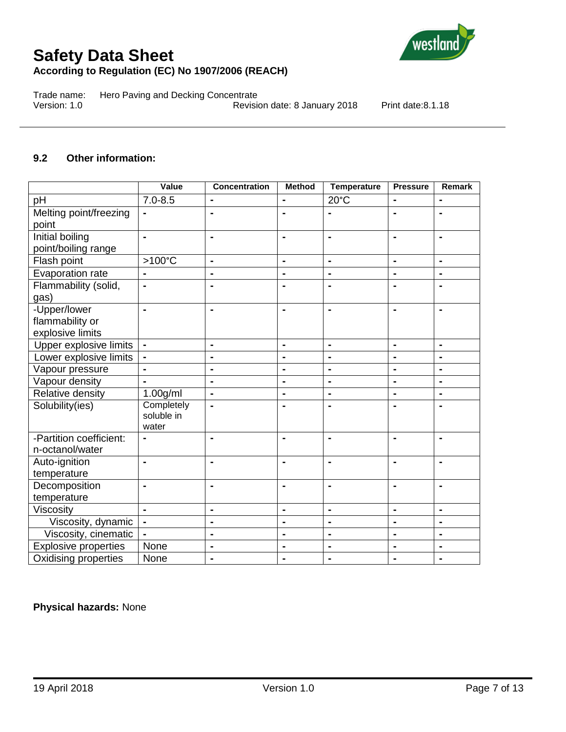

Trade name: Hero Paving and Decking Concentrate<br>Version: 1.0 Revision Revision date: 8 January 2018 Print date:8.1.18

### **9.2 Other information:**

|                                                     | Value                             | <b>Concentration</b> | <b>Method</b>  | <b>Temperature</b> | <b>Pressure</b> | <b>Remark</b>  |
|-----------------------------------------------------|-----------------------------------|----------------------|----------------|--------------------|-----------------|----------------|
| pH                                                  | $7.0 - 8.5$                       | $\blacksquare$       | $\blacksquare$ | $20^{\circ}$ C     | $\blacksquare$  | $\blacksquare$ |
| Melting point/freezing<br>point                     | $\blacksquare$                    | $\blacksquare$       | $\blacksquare$ | $\blacksquare$     | $\blacksquare$  | $\blacksquare$ |
| Initial boiling<br>point/boiling range              | $\blacksquare$                    | ۰                    | $\blacksquare$ |                    | $\blacksquare$  | $\blacksquare$ |
| Flash point                                         | >100°C                            | $\blacksquare$       | $\blacksquare$ | $\blacksquare$     | $\blacksquare$  | $\blacksquare$ |
| Evaporation rate                                    | $\blacksquare$                    | $\blacksquare$       | $\blacksquare$ | $\blacksquare$     | $\blacksquare$  | $\blacksquare$ |
| Flammability (solid,<br>gas)                        | $\blacksquare$                    | $\blacksquare$       | Ξ.             |                    | $\blacksquare$  |                |
| -Upper/lower<br>flammability or<br>explosive limits |                                   |                      |                |                    | $\blacksquare$  |                |
| Upper explosive limits                              |                                   | $\blacksquare$       | $\blacksquare$ |                    | $\blacksquare$  | $\blacksquare$ |
| Lower explosive limits                              | $\blacksquare$                    | $\blacksquare$       | $\blacksquare$ | $\blacksquare$     | $\blacksquare$  | $\blacksquare$ |
| Vapour pressure                                     | $\blacksquare$                    | $\blacksquare$       | $\blacksquare$ | $\blacksquare$     | $\blacksquare$  | $\blacksquare$ |
| Vapour density                                      |                                   | $\blacksquare$       | $\blacksquare$ | $\blacksquare$     | $\blacksquare$  | $\blacksquare$ |
| Relative density                                    | 1.00 <sub>g</sub> /ml             | $\blacksquare$       | $\blacksquare$ | $\blacksquare$     | $\blacksquare$  | $\blacksquare$ |
| Solubility(ies)                                     | Completely<br>soluble in<br>water | ÷,                   |                |                    | $\blacksquare$  |                |
| -Partition coefficient:<br>n-octanol/water          |                                   | ۰                    | $\blacksquare$ | $\blacksquare$     | $\blacksquare$  |                |
| Auto-ignition<br>temperature                        | $\blacksquare$                    | $\blacksquare$       | $\blacksquare$ | $\blacksquare$     | $\blacksquare$  | $\blacksquare$ |
| Decomposition<br>temperature                        | $\blacksquare$                    | $\blacksquare$       | $\blacksquare$ | $\blacksquare$     | $\blacksquare$  |                |
| Viscosity                                           | $\blacksquare$                    | $\blacksquare$       | $\blacksquare$ | $\blacksquare$     | $\blacksquare$  | $\blacksquare$ |
| Viscosity, dynamic                                  |                                   | $\blacksquare$       | $\blacksquare$ | $\blacksquare$     | $\blacksquare$  | $\blacksquare$ |
| Viscosity, cinematic                                |                                   | $\blacksquare$       | $\blacksquare$ | $\blacksquare$     | $\blacksquare$  | $\blacksquare$ |
| <b>Explosive properties</b>                         | None                              | $\blacksquare$       | $\blacksquare$ | $\blacksquare$     | $\blacksquare$  | $\blacksquare$ |
| Oxidising properties                                | None                              | $\blacksquare$       | $\blacksquare$ | $\blacksquare$     | $\blacksquare$  | $\blacksquare$ |

## **Physical hazards:** None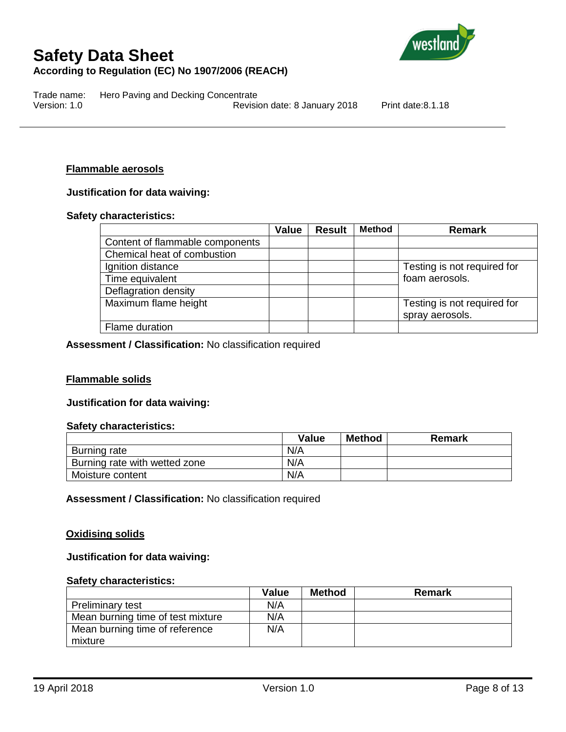

Trade name: Hero Paving and Decking Concentrate Version: 1.0 Revision date: 8 January 2018 Print date:8.1.18

#### **Flammable aerosols**

#### **Justification for data waiving:**

#### **Safety characteristics:**

|                                 | <b>Value</b> | <b>Result</b> | <b>Method</b> | Remark                      |
|---------------------------------|--------------|---------------|---------------|-----------------------------|
| Content of flammable components |              |               |               |                             |
| Chemical heat of combustion     |              |               |               |                             |
| Ignition distance               |              |               |               | Testing is not required for |
| Time equivalent                 |              |               |               | foam aerosols.              |
| Deflagration density            |              |               |               |                             |
| Maximum flame height            |              |               |               | Testing is not required for |
|                                 |              |               |               | spray aerosols.             |
| Flame duration                  |              |               |               |                             |

#### **Assessment / Classification:** No classification required

#### **Flammable solids**

#### **Justification for data waiving:**

#### **Safety characteristics:**

|                               | Value | <b>Method</b> | Remark |
|-------------------------------|-------|---------------|--------|
| Burning rate                  | N/A   |               |        |
| Burning rate with wetted zone | N/A   |               |        |
| Moisture content              | N/A   |               |        |

**Assessment / Classification:** No classification required

#### **Oxidising solids**

#### **Justification for data waiving:**

#### **Safety characteristics:**

|                                   | <b>Value</b> | Method | <b>Remark</b> |
|-----------------------------------|--------------|--------|---------------|
| <b>Preliminary test</b>           | N/A          |        |               |
| Mean burning time of test mixture | N/A          |        |               |
| Mean burning time of reference    | N/A          |        |               |
| mixture                           |              |        |               |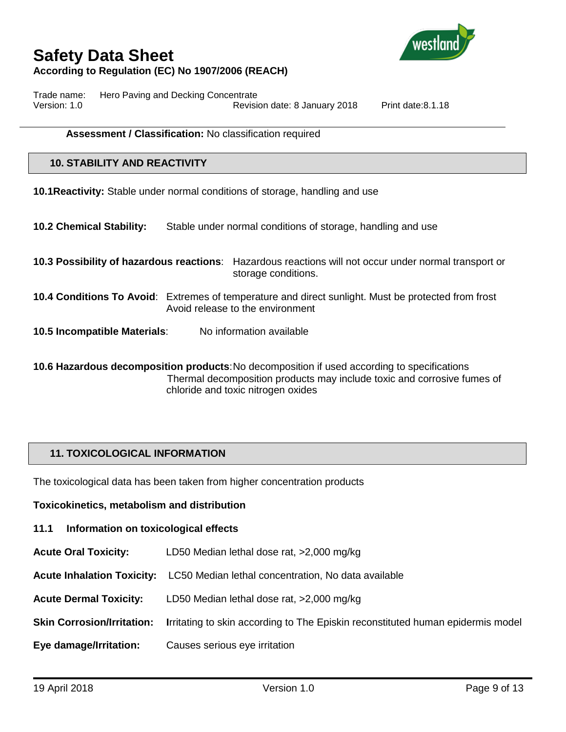

Trade name: Hero Paving and Decking Concentrate Version: 1.0 Revision date: 8 January 2018 Print date:8.1.18

#### **Assessment / Classification:** No classification required

### **10. STABILITY AND REACTIVITY**

**10.1Reactivity:** Stable under normal conditions of storage, handling and use

**10.2 Chemical Stability:** Stable under normal conditions of storage, handling and use

**10.3 Possibility of hazardous reactions**: Hazardous reactions will not occur under normal transport or storage conditions.

- **10.4 Conditions To Avoid**: Extremes of temperature and direct sunlight. Must be protected from frost Avoid release to the environment
- **10.5 Incompatible Materials**: No information available

**10.6 Hazardous decomposition products**:No decomposition if used according to specifications Thermal decomposition products may include toxic and corrosive fumes of chloride and toxic nitrogen oxides

## **11. TOXICOLOGICAL INFORMATION**

The toxicological data has been taken from higher concentration products

**Toxicokinetics, metabolism and distribution**

- **11.1 Information on toxicological effects**
- **Acute Oral Toxicity:** LD50 Median lethal dose rat, >2,000 mg/kg
- **Acute Inhalation Toxicity:** LC50 Median lethal concentration, No data available
- **Acute Dermal Toxicity:** LD50 Median lethal dose rat, >2,000 mg/kg
- **Skin Corrosion/Irritation: I**rritating to skin according to The Episkin reconstituted human epidermis model
- **Eye damage/Irritation:** Causes serious eye irritation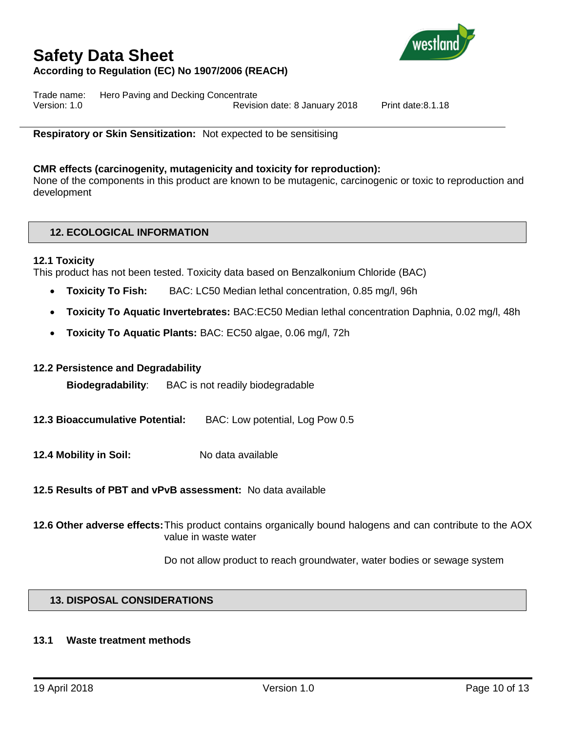

Trade name: Hero Paving and Decking Concentrate Version: 1.0 Revision date: 8 January 2018 Print date:8.1.18

**Respiratory or Skin Sensitization:** Not expected to be sensitising

### **CMR effects (carcinogenity, mutagenicity and toxicity for reproduction):**

None of the components in this product are known to be mutagenic, carcinogenic or toxic to reproduction and development

## **12. ECOLOGICAL INFORMATION**

#### **12.1 Toxicity**

This product has not been tested. Toxicity data based on Benzalkonium Chloride (BAC)

- **Toxicity To Fish:** BAC: LC50 Median lethal concentration, 0.85 mg/l, 96h
- **Toxicity To Aquatic Invertebrates:** BAC:EC50 Median lethal concentration Daphnia, 0.02 mg/l, 48h
- **Toxicity To Aquatic Plants:** BAC: EC50 algae, 0.06 mg/l, 72h

#### **12.2 Persistence and Degradability**

**Biodegradability**: BAC is not readily biodegradable

- **12.3 Bioaccumulative Potential:** BAC: Low potential, Log Pow 0.5
- **12.4 Mobility in Soil:** No data available

**12.5 Results of PBT and vPvB assessment:** No data available

**12.6 Other adverse effects:**This product contains organically bound halogens and can contribute to the AOX value in waste water

Do not allow product to reach groundwater, water bodies or sewage system

## **13. DISPOSAL CONSIDERATIONS**

#### **13.1 Waste treatment methods**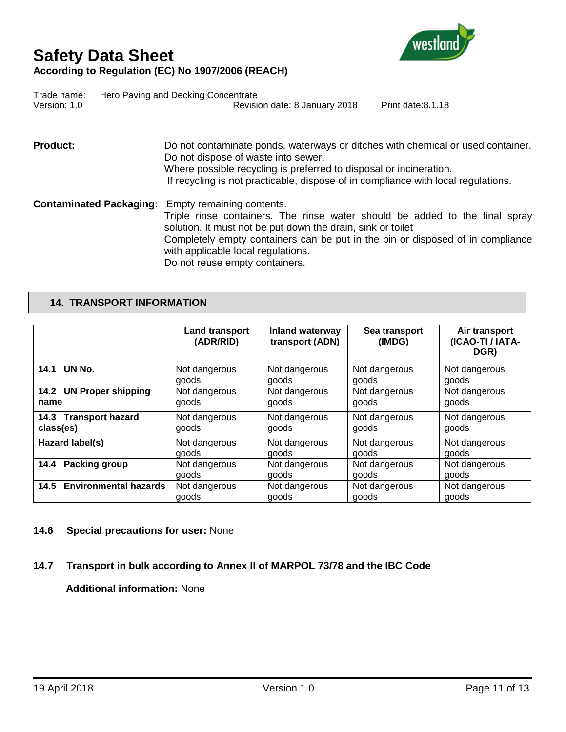

Trade name: Hero Paving and Decking Concentrate Version: 1.0 Revision date: 8 January 2018 Print date:8.1.18

**Product:** Do not contaminate ponds, waterways or ditches with chemical or used container. Do not dispose of waste into sewer. Where possible recycling is preferred to disposal or incineration. If recycling is not practicable, dispose of in compliance with local regulations.

**Contaminated Packaging:** Empty remaining contents. Triple rinse containers. The rinse water should be added to the final spray solution. It must not be put down the drain, sink or toilet Completely empty containers can be put in the bin or disposed of in compliance with applicable local regulations. Do not reuse empty containers.

## **14. TRANSPORT INFORMATION**

|                              | <b>Land transport</b><br>(ADR/RID) | <b>Inland waterway</b><br>transport (ADN) | Sea transport<br>(IMDG) | Air transport<br>(ICAO-TI / IATA-<br>DGR) |
|------------------------------|------------------------------------|-------------------------------------------|-------------------------|-------------------------------------------|
| UN No.                       | Not dangerous                      | Not dangerous                             | Not dangerous           | Not dangerous                             |
| 14.1                         | goods                              | goods                                     | goods                   | goods                                     |
| 14.2 UN Proper shipping      | Not dangerous                      | Not dangerous                             | Not dangerous           | Not dangerous                             |
| name                         | goods                              | goods                                     | goods                   | goods                                     |
| 14.3 Transport hazard        | Not dangerous                      | Not dangerous                             | Not dangerous           | Not dangerous                             |
| class(es)                    | goods                              | goods                                     | goods                   | goods                                     |
| Hazard label(s)              | Not dangerous                      | Not dangerous                             | Not dangerous           | Not dangerous                             |
|                              | goods                              | goods                                     | aoods                   | goods                                     |
| <b>Packing group</b>         | Not dangerous                      | Not dangerous                             | Not dangerous           | Not dangerous                             |
| 14.4                         | goods                              | goods                                     | goods                   | goods                                     |
| <b>Environmental hazards</b> | Not dangerous                      | Not dangerous                             | Not dangerous           | Not dangerous                             |
| 14.5                         | goods                              | goods                                     | goods                   | goods                                     |

#### **14.6 Special precautions for user:** None

## **14.7 Transport in bulk according to Annex II of MARPOL 73/78 and the IBC Code**

**Additional information:** None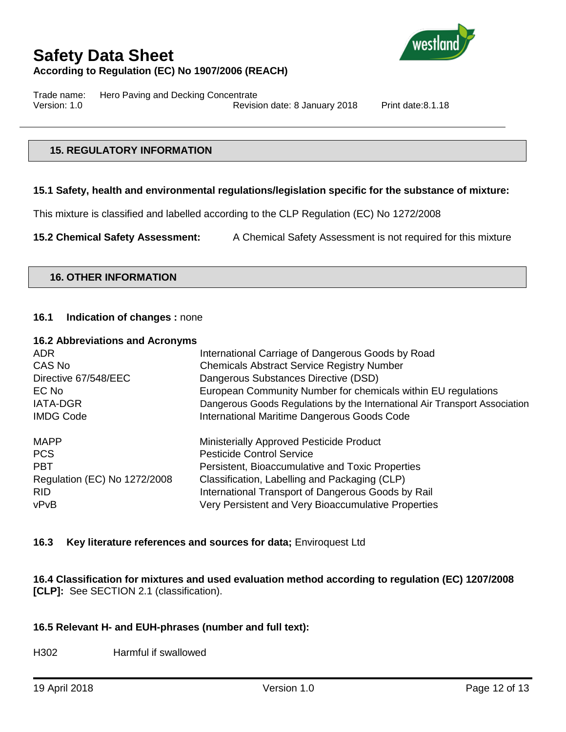

Trade name: Hero Paving and Decking Concentrate Version: 1.0 Revision date: 8 January 2018 Print date:8.1.18

## **15. REGULATORY INFORMATION**

### **15.1 Safety, health and environmental regulations/legislation specific for the substance of mixture:**

This mixture is classified and labelled according to the CLP Regulation (EC) No 1272/2008

**15.2 Chemical Safety Assessment:** A Chemical Safety Assessment is not required for this mixture

### **16. OTHER INFORMATION**

### **16.1 Indication of changes :** none

#### **16.2 Abbreviations and Acronyms**

| <b>ADR</b>                   | International Carriage of Dangerous Goods by Road                          |
|------------------------------|----------------------------------------------------------------------------|
| CAS No                       | <b>Chemicals Abstract Service Registry Number</b>                          |
| Directive 67/548/EEC         | Dangerous Substances Directive (DSD)                                       |
| EC No                        | European Community Number for chemicals within EU regulations              |
| <b>IATA-DGR</b>              | Dangerous Goods Regulations by the International Air Transport Association |
| <b>IMDG Code</b>             | International Maritime Dangerous Goods Code                                |
| <b>MAPP</b>                  | Ministerially Approved Pesticide Product                                   |
| <b>PCS</b>                   | <b>Pesticide Control Service</b>                                           |
| <b>PBT</b>                   | Persistent, Bioaccumulative and Toxic Properties                           |
| Regulation (EC) No 1272/2008 | Classification, Labelling and Packaging (CLP)                              |
| <b>RID</b>                   | International Transport of Dangerous Goods by Rail                         |
| vPvB                         | Very Persistent and Very Bioaccumulative Properties                        |

### **16.3 Key literature references and sources for data;** Enviroquest Ltd

**16.4 Classification for mixtures and used evaluation method according to regulation (EC) 1207/2008 [CLP]:** See SECTION 2.1 (classification).

### **16.5 Relevant H- and EUH-phrases (number and full text):**

H302 Harmful if swallowed